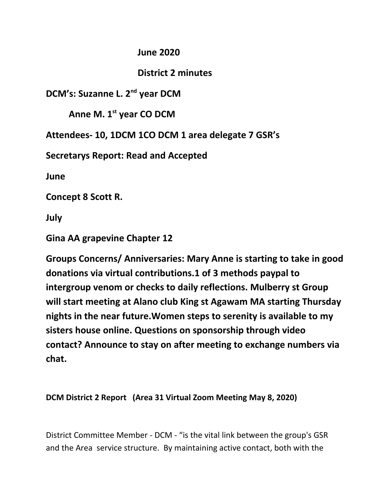## **June 2020**

# **District 2 minutes**

**DCM's: Suzanne L. 2nd year DCM**

**Anne M. 1st year CO DCM**

**Attendees- 10, 1DCM 1CO DCM 1 area delegate 7 GSR's**

**Secretarys Report: Read and Accepted**

**June**

**Concept 8 Scott R.**

**July**

**Gina AA grapevine Chapter 12**

**Groups Concerns/ Anniversaries: Mary Anne is starting to take in good donations via virtual contributions.1 of 3 methods paypal to intergroup venom or checks to daily reflections. Mulberry st Group will start meeting at Alano club King st Agawam MA starting Thursday nights in the near future.Women steps to serenity is available to my sisters house online. Questions on sponsorship through video contact? Announce to stay on after meeting to exchange numbers via chat.**

**DCM District 2 Report (Area 31 Virtual Zoom Meeting May 8, 2020)**

District Committee Member - DCM - "is the vital link between the group's GSR and the Area service structure. By maintaining active contact, both with the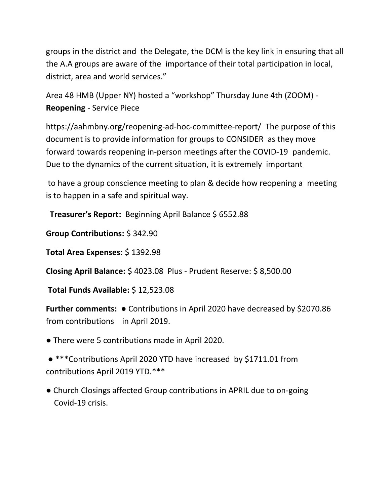groups in the district and the Delegate, the DCM is the key link in ensuring that all the A.A groups are aware of the importance of their total participation in local, district, area and world services."

Area 48 HMB (Upper NY) hosted a "workshop" Thursday June 4th (ZOOM) - **Reopening** - Service Piece

https://aahmbny.org/reopening-ad-hoc-committee-report/ The purpose of this document is to provide information for groups to CONSIDER as they move forward towards reopening in-person meetings after the COVID-19 pandemic. Due to the dynamics of the current situation, it is extremely important

 to have a group conscience meeting to plan & decide how reopening a meeting is to happen in a safe and spiritual way.

**Treasurer's Report:** Beginning April Balance \$ 6552.88

**Group Contributions:** \$ 342.90

**Total Area Expenses:** \$ 1392.98

**Closing April Balance:** \$ 4023.08 Plus - Prudent Reserve: \$ 8,500.00

**Total Funds Available:** \$ 12,523.08

**Further comments:** ● Contributions in April 2020 have decreased by \$2070.86 from contributions in April 2019.

● There were 5 contributions made in April 2020.

 ● \*\*\*Contributions April 2020 YTD have increased by \$1711.01 from contributions April 2019 YTD.\*\*\*

● Church Closings affected Group contributions in APRIL due to on-going Covid-19 crisis.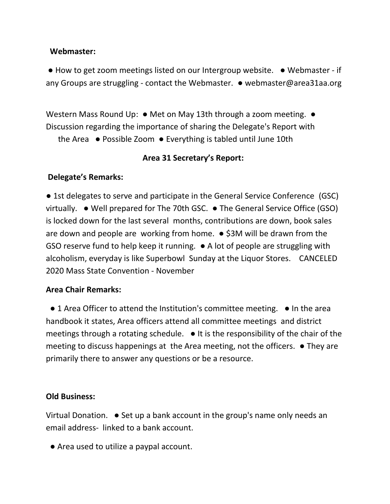#### **Webmaster:**

● How to get zoom meetings listed on our Intergroup website. ● Webmaster - if any Groups are struggling - contact the Webmaster. ● webmaster@area31aa.org

Western Mass Round Up: • Met on May 13th through a zoom meeting. • Discussion regarding the importance of sharing the Delegate's Report with

the Area ● Possible Zoom ● Everything is tabled until June 10th

## **Area 31 Secretary's Report:**

## **Delegate's Remarks:**

● 1st delegates to serve and participate in the General Service Conference (GSC) virtually. ● Well prepared for The 70th GSC. ● The General Service Office (GSO) is locked down for the last several months, contributions are down, book sales are down and people are working from home.  $\bullet$  \$3M will be drawn from the GSO reserve fund to help keep it running. ● A lot of people are struggling with alcoholism, everyday is like Superbowl Sunday at the Liquor Stores. CANCELED 2020 Mass State Convention - November

## **Area Chair Remarks:**

● 1 Area Officer to attend the Institution's committee meeting. ● In the area handbook it states, Area officers attend all committee meetings and district meetings through a rotating schedule. ● It is the responsibility of the chair of the meeting to discuss happenings at the Area meeting, not the officers. ● They are primarily there to answer any questions or be a resource.

## **Old Business:**

Virtual Donation. ● Set up a bank account in the group's name only needs an email address- linked to a bank account.

● Area used to utilize a paypal account.